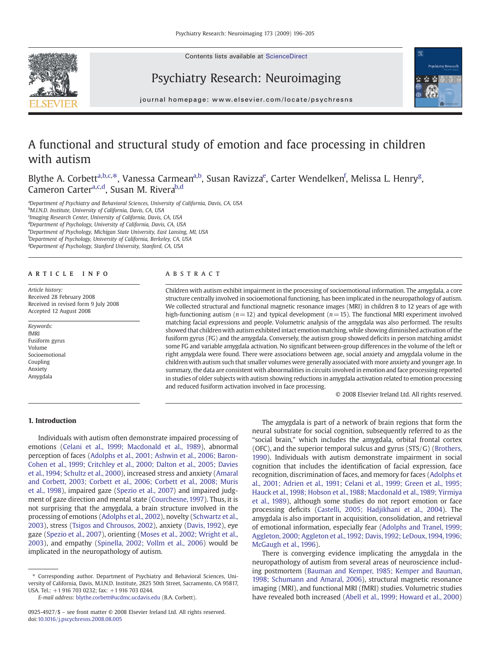Contents lists available at ScienceDirect





# Psychiatry Research: Neuroimaging

journal homepage: www.elsevier.com/locate/psychresns

# A functional and structural study of emotion and face processing in children with autism

Blythe A. Corbett<sup>a,b,c,\*</sup>, Vanessa Carmean<sup>a,b</sup>, Susan Ravizza<sup>e</sup>, Carter Wendelken<sup>f</sup>, Melissa L. Henry<sup>g</sup>, Cameron Carter<sup>a,c,d</sup>, Susan M. Rivera<sup>b,d</sup>

<sup>a</sup>Department of Psychiatry and Behavioral Sciences, University of California, Davis, CA, USA <sup>b</sup>M.I.N.D. Institute, University of California, Davis, CA, USA <sup>c</sup>Imaging Research Center, University of California, Davis, CA, USA <sup>d</sup>Department of Psychology, University of California, Davis, CA, USA <sup>e</sup>Department of Psychology, Michigan State University, East Lansing, MI, USA <sup>f</sup>Department of Psychology, University of California, Berkeley, CA, USA <sup>g</sup>Department of Psychology, Stanford University, Stanford, CA, USA

# article info abstract

Article history: Received 28 February 2008 Received in revised form 9 July 2008 Accepted 12 August 2008

Keywords: fMRI Fusiform gyrus Volume Socioemotional Coupling Anxiety Amygdala

Children with autism exhibit impairment in the processing of socioemotional information. The amygdala, a core structure centrally involved in socioemotional functioning, has been implicated in the neuropathology of autism. We collected structural and functional magnetic resonance images (MRI) in children 8 to 12 years of age with high-functioning autism ( $n=12$ ) and typical development ( $n=15$ ). The functional MRI experiment involved matching facial expressions and people. Volumetric analysis of the amygdala was also performed. The results showed that childrenwith autism exhibited intact emotion matching, while showing diminished activation of the fusiform gyrus (FG) and the amygdala. Conversely, the autism group showed deficits in person matching amidst some FG and variable amygdala activation. No significant between-group differences in the volume of the left or right amygdala were found. There were associations between age, social anxiety and amygdala volume in the children with autism such that smaller volumes were generally associated with more anxiety and younger age. In summary, the data are consistent with abnormalities in circuits involved in emotion and face processing reported in studies of older subjects with autism showing reductions in amygdala activation related to emotion processing and reduced fusiform activation involved in face processing.

© 2008 Elsevier Ireland Ltd. All rights reserved.

# 1. Introduction

Individuals with autism often demonstrate impaired processing of emotions ([Celani et al., 1999; Macdonald et al., 1989](#page-8-0)), abnormal perception of faces [\(Adolphs et al., 2001; Ashwin et al., 2006; Baron-](#page-7-0)[Cohen et al., 1999; Critchley et al., 2000; Dalton et al., 2005; Davies](#page-7-0) [et al., 1994; Schultz et al., 2000\)](#page-7-0), increased stress and anxiety ([Amaral](#page-8-0) [and Corbett, 2003; Corbett et al., 2006; Corbett et al., 2008; Muris](#page-8-0) [et al., 1998](#page-8-0)), impaired gaze ([Spezio et al., 2007](#page-9-0)) and impaired judgment of gaze direction and mental state [\(Courchesne, 1997\)](#page-8-0). Thus, it is not surprising that the amygdala, a brain structure involved in the processing of emotions ([Adolphs et al., 2002\)](#page-7-0), novelty [\(Schwartz et al.,](#page-9-0) [2003](#page-9-0)), stress ([Tsigos and Chrousos, 2002](#page-9-0)), anxiety ([Davis, 1992\)](#page-8-0), eye gaze ([Spezio et al., 2007](#page-9-0)), orienting ([Moses et al., 2002; Wright et al.,](#page-8-0) [2003](#page-8-0)), and empathy ([Spinella, 2002; Vollm et al., 2006\)](#page-9-0) would be implicated in the neuropathology of autism.

E-mail address: [blythe.corbett@ucdmc.ucdavis.edu](mailto:blythe.corbett@ucdmc.ucdavis.edu) (B.A. Corbett).

The amygdala is part of a network of brain regions that form the neural substrate for social cognition, subsequently referred to as the "social brain," which includes the amygdala, orbital frontal cortex (OFC), and the superior temporal sulcus and gyrus (STS/G) [\(Brothers,](#page-8-0) [1990](#page-8-0)). Individuals with autism demonstrate impairment in social cognition that includes the identification of facial expression, face recognition, discrimination of faces, and memory for faces [\(Adolphs et](#page-7-0) [al., 2001; Adrien et al., 1991; Celani et al., 1999; Green et al., 1995;](#page-7-0) [Hauck et al., 1998; Hobson et al., 1988; Macdonald et al., 1989; Yirmiya](#page-7-0) [et al., 1989\)](#page-7-0), although some studies do not report emotion or face processing deficits ([Castelli, 2005; Hadjikhani et al., 2004](#page-8-0)). The amygdala is also important in acquisition, consolidation, and retrieval of emotional information, especially fear [\(Adolphs and Tranel, 1999;](#page-7-0) [Aggleton, 2000; Aggleton et al., 1992; Davis, 1992; LeDoux, 1994, 1996;](#page-7-0) [McGaugh et al., 1996\)](#page-7-0).

There is converging evidence implicating the amygdala in the neuropathology of autism from several areas of neuroscience including postmortem ([Bauman and Kemper, 1985; Kemper and Bauman,](#page-8-0) [1998; Schumann and Amaral, 2006\)](#page-8-0), structural magnetic resonance imaging (MRI), and functional MRI (fMRI) studies. Volumetric studies have revealed both increased [\(Abell et al., 1999; Howard et al., 2000](#page-7-0))

<sup>⁎</sup> Corresponding author. Department of Psychiatry and Behavioral Sciences, University of California, Davis, M.I.N.D. Institute, 2825 50th Street, Sacramento, CA 95817, USA. Tel.: +1 916 703 0232; fax: +1 916 703 0244.

<sup>0925-4927/\$</sup> – see front matter © 2008 Elsevier Ireland Ltd. All rights reserved. doi[:10.1016/j.pscychresns.2008.08.005](http://dx.doi.org/10.1016/j.pscychresns.2008.08.005)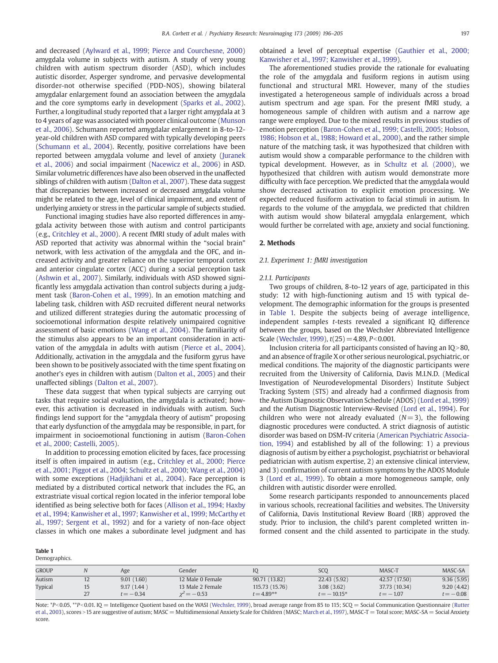and decreased [\(Aylward et al., 1999; Pierce and Courchesne, 2000](#page-8-0)) amygdala volume in subjects with autism. A study of very young children with autism spectrum disorder (ASD), which includes autistic disorder, Asperger syndrome, and pervasive developmental disorder-not otherwise specified (PDD-NOS), showing bilateral amygdalar enlargement found an association between the amygdala and the core symptoms early in development [\(Sparks et al., 2002](#page-9-0)). Further, a longitudinal study reported that a larger right amygdala at 3 to 4 years of age was associated with poorer clinical outcome ([Munson](#page-8-0) [et al., 2006\)](#page-8-0). Schumann reported amygdalar enlargement in 8-to-12 year-old children with ASD compared with typically developing peers [\(Schumann et al., 2004](#page-9-0)). Recently, positive correlations have been reported between amygdala volume and level of anxiety ([Juranek](#page-8-0) [et al., 2006](#page-8-0)) and social impairment [\(Nacewicz et al., 2006\)](#page-8-0) in ASD. Similar volumetric differences have also been observed in the unaffected siblings of children with autism ([Dalton et al., 2007\)](#page-8-0). These data suggest that discrepancies between increased or decreased amygdala volume might be related to the age, level of clinical impairment, and extent of underlying anxiety or stress in the particular sample of subjects studied.

Functional imaging studies have also reported differences in amygdala activity between those with autism and control participants (e.g., [Critchley et al., 2000](#page-8-0)). A recent fMRI study of adult males with ASD reported that activity was abnormal within the "social brain" network, with less activation of the amygdala and the OFC, and increased activity and greater reliance on the superior temporal cortex and anterior cingulate cortex (ACC) during a social perception task [\(Ashwin et al., 2007](#page-8-0)). Similarly, individuals with ASD showed significantly less amygdala activation than control subjects during a judgment task ([Baron-Cohen et al., 1999\)](#page-8-0). In an emotion matching and labeling task, children with ASD recruited different neural networks and utilized different strategies during the automatic processing of socioemotional information despite relatively unimpaired cognitive assessment of basic emotions [\(Wang et al., 2004](#page-9-0)). The familiarity of the stimulus also appears to be an important consideration in activation of the amygdala in adults with autism ([Pierce et al., 2004](#page-8-0)). Additionally, activation in the amygdala and the fusiform gyrus have been shown to be positively associated with the time spent fixating on another's eyes in children with autism ([Dalton et al., 2005](#page-8-0)) and their unaffected siblings ([Dalton et al., 2007](#page-8-0)).

These data suggest that when typical subjects are carrying out tasks that require social evaluation, the amygdala is activated; however, this activation is decreased in individuals with autism. Such findings lend support for the "amygdala theory of autism" proposing that early dysfunction of the amygdala may be responsible, in part, for impairment in socioemotional functioning in autism [\(Baron-Cohen](#page-8-0) [et al., 2000; Castelli, 2005](#page-8-0)).

In addition to processing emotion elicited by faces, face processing itself is often impaired in autism (e.g., [Critchley et al., 2000; Pierce](#page-8-0) [et al., 2001; Piggot et al., 2004; Schultz et al., 2000; Wang et al., 2004](#page-8-0)) with some exceptions [\(Hadjikhani et al., 2004](#page-8-0)). Face perception is mediated by a distributed cortical network that includes the FG, an extrastriate visual cortical region located in the inferior temporal lobe identified as being selective both for faces [\(Allison et al., 1994; Haxby](#page-8-0) [et al., 1994; Kanwisher et al., 1997; Kanwisher et al., 1999; McCarthy et](#page-8-0) [al., 1997; Sergent et al., 1992\)](#page-8-0) and for a variety of non-face object classes in which one makes a subordinate level judgment and has

Table 1 Demographics. obtained a level of perceptual expertise [\(Gauthier et al., 2000;](#page-8-0) [Kanwisher et al., 1997; Kanwisher et al., 1999](#page-8-0)).

The aforementioned studies provide the rationale for evaluating the role of the amygdala and fusiform regions in autism using functional and structural MRI. However, many of the studies investigated a heterogeneous sample of individuals across a broad autism spectrum and age span. For the present fMRI study, a homogeneous sample of children with autism and a narrow age range were employed. Due to the mixed results in previous studies of emotion perception [\(Baron-Cohen et al., 1999; Castelli, 2005; Hobson,](#page-8-0) [1986; Hobson et al., 1988; Howard et al., 2000](#page-8-0)), and the rather simple nature of the matching task, it was hypothesized that children with autism would show a comparable performance to the children with typical development. However, as in [Schultz et al. \(2000\),](#page-9-0) we hypothesized that children with autism would demonstrate more difficulty with face perception. We predicted that the amygdala would show decreased activation to explicit emotion processing. We expected reduced fusiform activation to facial stimuli in autism. In regards to the volume of the amygdala, we predicted that children with autism would show bilateral amygdala enlargement, which would further be correlated with age, anxiety and social functioning.

#### 2. Methods

# 2.1. Experiment 1: fMRI investigation

#### 2.1.1. Participants

Two groups of children, 8-to-12 years of age, participated in this study: 12 with high-functioning autism and 15 with typical development. The demographic information for the groups is presented in Table 1. Despite the subjects being of average intelligence, independent samples t-tests revealed a significant IQ difference between the groups, based on the Wechsler Abbreviated Intelligence Scale [\(Wechsler, 1999](#page-9-0)),  $t(25)=4.89$ ,  $P<0.001$ .

Inclusion criteria for all participants consisted of having an  $IQ>80$ , and an absence of fragile X or other serious neurological, psychiatric, or medical conditions. The majority of the diagnostic participants were recruited from the University of California, Davis M.I.N.D. (Medical Investigation of Neurodevelopmental Disorders) Institute Subject Tracking System (STS) and already had a confirmed diagnosis from the Autism Diagnostic Observation Schedule (ADOS) [\(Lord et al., 1999](#page-8-0)) and the Autism Diagnostic Interview-Revised [\(Lord et al., 1994\)](#page-8-0). For children who were not already evaluated  $(N=3)$ , the following diagnostic procedures were conducted. A strict diagnosis of autistic disorder was based on DSM-IV criteria ([American Psychiatric Associa](#page-8-0)[tion, 1994\)](#page-8-0) and established by all of the following: 1) a previous diagnosis of autism by either a psychologist, psychiatrist or behavioral pediatrician with autism expertise, 2) an extensive clinical interview, and 3) confirmation of current autism symptoms by the ADOS Module 3 [\(Lord et al., 1999\)](#page-8-0). To obtain a more homogeneous sample, only children with autistic disorder were enrolled.

Some research participants responded to announcements placed in various schools, recreational facilities and websites. The University of California, Davis Institutional Review Board (IRB) approved the study. Prior to inclusion, the child's parent completed written informed consent and the child assented to participate in the study.

GROUP N Age Gender IQ SCQ MASC-T MASC-SA Autism 12 9.01 (1.60) 12 Male 0 Female 90.71 (13.82) 22.43 (5.92) 42.57 (17.50) 9.36 (5.95) Typical 15 9.17 (1.44 ) 13 Male 2 Female 115.73 (15.76) 3.08 (3.62) 37.73 (10.34) 9.20 (4.42) 27  $t=-0.34$   $\chi^2=-0.53$   $t=4.89$ <sup>\*\*</sup>  $t=-10.15$ <sup>\*</sup>  $t=-1.07$   $t=-0.08$ 

Note: \*P<0.05, \*\*P<0.01. IQ = Intelligence Quotient based on the WASI ([Wechsler, 1999](#page-9-0)), broad average range from 85 to 115; SCQ = Social Communication Questionnaire [\(Rutter](#page-9-0) [et al., 2003\)](#page-9-0), scores > 15 are suggestive of autism; MASC = Multidimensional Anxiety Scale for Children (MASC; [March et al., 1997](#page-8-0)), MASC-T = Total score; MASC-SA = Social Anxiety score.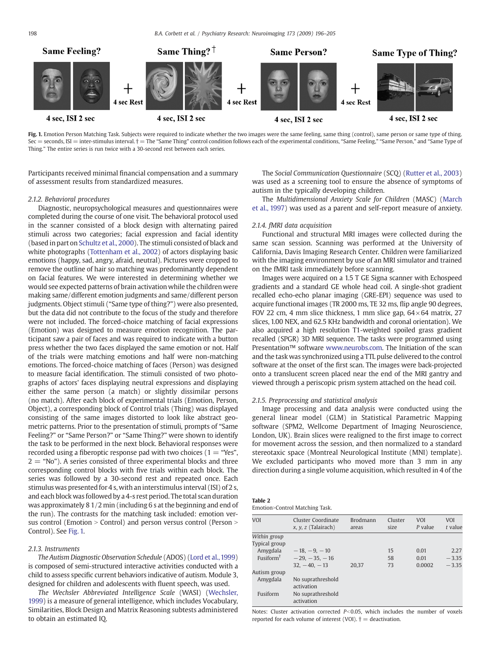<span id="page-2-0"></span>198 B.A. Corbett et al. / Psychiatry Research: Neuroimaging 173 (2009) 196–205



Fig. 1. Emotion Person Matching Task. Subjects were required to indicate whether the two images were the same feeling, same thing (control), same person or same type of thing. Sec = seconds, ISI = inter-stimulus interval.  $\dagger$  = The "Same Thing" control condition follows each of the experimental conditions, "Same Feeling," "Same Person," and "Same Type of Thing." The entire series is run twice with a 30-second rest between each series.

Participants received minimal financial compensation and a summary of assessment results from standardized measures.

## 2.1.2. Behavioral procedures

Diagnostic, neuropsychological measures and questionnaires were completed during the course of one visit. The behavioral protocol used in the scanner consisted of a block design with alternating paired stimuli across two categories; facial expression and facial identity (based in part on [Schultz et al., 2000](#page-9-0)). The stimuli consisted of black and white photographs ([Tottenham et al., 2002\)](#page-9-0) of actors displaying basic emotions (happy, sad, angry, afraid, neutral). Pictures were cropped to remove the outline of hair so matching was predominantly dependent on facial features. We were interested in determining whether we would see expected patterns of brain activation while the children were making same/different emotion judgments and same/different person judgments. Object stimuli ("Same type of thing?") were also presented, but the data did not contribute to the focus of the study and therefore were not included. The forced-choice matching of facial expressions (Emotion) was designed to measure emotion recognition. The participant saw a pair of faces and was required to indicate with a button press whether the two faces displayed the same emotion or not. Half of the trials were matching emotions and half were non-matching emotions. The forced-choice matching of faces (Person) was designed to measure facial identification. The stimuli consisted of two photographs of actors' faces displaying neutral expressions and displaying either the same person (a match) or slightly dissimilar persons (no match). After each block of experimental trials (Emotion, Person, Object), a corresponding block of Control trials (Thing) was displayed consisting of the same images distorted to look like abstract geometric patterns. Prior to the presentation of stimuli, prompts of "Same Feeling?" or "Same Person?" or "Same Thing?" were shown to identify the task to be performed in the next block. Behavioral responses were recorded using a fiberoptic response pad with two choices  $(1 = "Yes",$  $2 =$  "No"). A series consisted of three experimental blocks and three corresponding control blocks with five trials within each block. The series was followed by a 30-second rest and repeated once. Each stimulus was presented for 4 s, with an interstimulus interval (ISI) of 2 s, and each block was followed by a 4-s rest period. The total scan duration was approximately 8 1/2 min (including 6 s at the beginning and end of the run). The contrasts for the matching task included: emotion versus control (Emotion  $>$  Control) and person versus control (Person  $>$ Control). See Fig. 1.

# 213 Instruments

The Autism Diagnostic Observation Schedule (ADOS) [\(Lord et al.,1999](#page-8-0)) is composed of semi-structured interactive activities conducted with a child to assess specific current behaviors indicative of autism. Module 3, designed for children and adolescents with fluent speech, was used.

The Wechsler Abbreviated Intelligence Scale (WASI) ([Wechsler,](#page-9-0) [1999](#page-9-0)) is a measure of general intelligence, which includes Vocabulary, Similarities, Block Design and Matrix Reasoning subtests administered to obtain an estimated IQ.

The Social Communication Questionnaire (SCQ) ([Rutter et al., 2003](#page-9-0)) was used as a screening tool to ensure the absence of symptoms of autism in the typically developing children.

The Multidimensional Anxiety Scale for Children (MASC) ([March](#page-8-0) [et al., 1997](#page-8-0)) was used as a parent and self-report measure of anxiety.

# 2.1.4. fMRI data acquisition

Functional and structural MRI images were collected during the same scan session. Scanning was performed at the University of California, Davis Imaging Research Center. Children were familiarized with the imaging environment by use of an MRI simulator and trained on the fMRI task immediately before scanning.

Images were acquired on a 1.5 T GE Signa scanner with Echospeed gradients and a standard GE whole head coil. A single-shot gradient recalled echo-echo planar imaging (GRE-EPI) sequence was used to acquire functional images (TR 2000 ms, TE 32 ms, flip angle 90 degrees, FOV 22 cm, 4 mm slice thickness, 1 mm slice gap,  $64 \times 64$  matrix, 27 slices, 1.00 NEX, and 62.5 KHz bandwidth and coronal orientation). We also acquired a high resolution T1-weighted spoiled grass gradient recalled (SPGR) 3D MRI sequence. The tasks were programmed using Presentation™ software [www.neurobs.com](http://www.neurobs.com). The Initiation of the scan and the task was synchronized using a TTL pulse delivered to the control software at the onset of the first scan. The images were back-projected onto a translucent screen placed near the end of the MRI gantry and viewed through a periscopic prism system attached on the head coil.

# 2.1.5. Preprocessing and statistical analysis

Image processing and data analysis were conducted using the general linear model (GLM) in Statistical Parametric Mapping software (SPM2, Wellcome Department of Imaging Neuroscience, London, UK). Brain slices were realigned to the first image to correct for movement across the session, and then normalized to a standard stereotaxic space (Montreal Neurological Institute (MNI) template). We excluded participants who moved more than 3 mm in any direction during a single volume acquisition, which resulted in 4 of the

| - |  |
|---|--|
|---|--|

| Emotion>Control Matching Task. |  |  |
|--------------------------------|--|--|
|--------------------------------|--|--|

| <b>VOI</b>    | Cluster Coordinate<br>$x, y, z$ (Talairach) | <b>Brodmann</b><br>areas | Cluster<br>size | <b>VOI</b><br>P value | <b>VOI</b><br>t value |
|---------------|---------------------------------------------|--------------------------|-----------------|-----------------------|-----------------------|
| Within group  |                                             |                          |                 |                       |                       |
| Typical group |                                             |                          |                 |                       |                       |
| Amygdala      | $-18, -9, -10$                              |                          | 15              | 0.01                  | 2.27                  |
| Fusiform $†$  | $-29. -35. -16$                             |                          | 58              | 0.01                  | $-3.35$               |
|               | $32 - 40 - 13$                              | 20.37                    | 73              | 0.0002                | $-3.35$               |
| Autism group  |                                             |                          |                 |                       |                       |
| Amygdala      | No suprathreshold<br>activation             |                          |                 |                       |                       |
| Fusiform      | No suprathreshold<br>activation             |                          |                 |                       |                       |

Notes: Cluster activation corrected  $P<0.05$ , which includes the number of voxels reported for each volume of interest (VOI).  $\dagger$  = deactivation.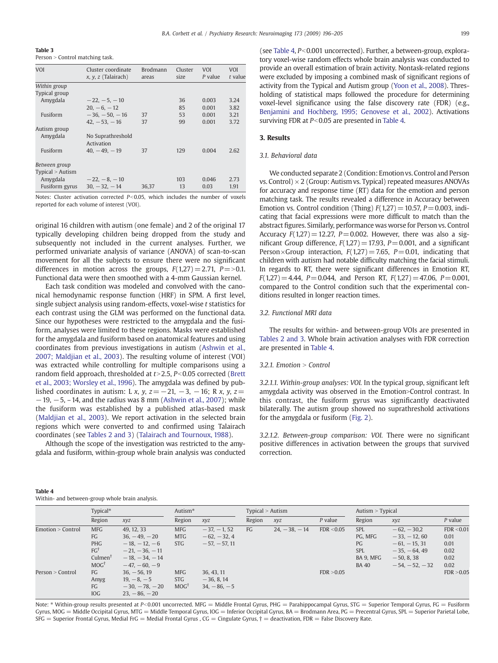<span id="page-3-0"></span>Table 3

Table 4

Within- and between-group whole brain analysis.

Person > Control matching task.

| VOI              | Cluster coordinate<br>$x, y, z$ (Talairach) | <b>Brodmann</b><br>areas | Cluster<br>size | <b>VOI</b><br>$P$ value | <b>VOI</b><br>t value |
|------------------|---------------------------------------------|--------------------------|-----------------|-------------------------|-----------------------|
| Within group     |                                             |                          |                 |                         |                       |
| Typical group    |                                             |                          |                 |                         |                       |
| Amygdala         | $-22. -5. -10$                              |                          | 36              | 0.003                   | 3.24                  |
|                  | $20. -6. -12$                               |                          | 85              | 0.001                   | 3.82                  |
| Fusiform         | $-36, -50, -16$                             | 37                       | 53              | 0.001                   | 3.21                  |
|                  | $42. -53. -16$                              | 37                       | 99              | 0.001                   | 3.72                  |
| Autism group     |                                             |                          |                 |                         |                       |
| Amygdala         | No Suprathreshold<br>Activation             |                          |                 |                         |                       |
| Fusiform         | $40. -49. -19$                              | 37                       | 129             | 0.004                   | 2.62                  |
| Between group    |                                             |                          |                 |                         |                       |
| Typical > Autism |                                             |                          |                 |                         |                       |
| Amygdala         | $-22, -8, -10$                              |                          | 103             | 0.046                   | 2.73                  |
| Fusiform gyrus   | $30. -32. -14$                              | 36.37                    | 13              | 0.03                    | 1.91                  |

Notes: Cluster activation corrected  $P<0.05$ , which includes the number of voxels reported for each volume of interest (VOI).

original 16 children with autism (one female) and 2 of the original 17 typically developing children being dropped from the study and subsequently not included in the current analyses. Further, we performed univariate analysis of variance (ANOVA) of scan-to-scan movement for all the subjects to ensure there were no significant differences in motion across the groups,  $F(1,27) = 2.71$ ,  $P = > 0.1$ . Functional data were then smoothed with a 4-mm Gaussian kernel.

Each task condition was modeled and convolved with the canonical hemodynamic response function (HRF) in SPM. A first level, single subject analysis using random-effects, voxel-wise t statistics for each contrast using the GLM was performed on the functional data. Since our hypotheses were restricted to the amygdala and the fusiform, analyses were limited to these regions. Masks were established for the amygdala and fusiform based on anatomical features and using coordinates from previous investigations in autism ([Ashwin et al.,](#page-8-0) [2007; Maldjian et al., 2003\)](#page-8-0). The resulting volume of interest (VOI) was extracted while controlling for multiple comparisons using a random field approach, thresholded at  $t > 2.5$ ,  $P < 0.05$  corrected ([Brett](#page-8-0) [et al., 2003; Worsley et al., 1996](#page-8-0)). The amygdala was defined by published coordinates in autism: L x, y,  $z=-21, -3, -16$ ; R x, y,  $z=$  $-19$ ,  $-5$ ,  $-14$ , and the radius was 8 mm ([Ashwin et al., 2007\)](#page-8-0); while the fusiform was established by a published atlas-based mask [\(Maldjian et al., 2003\)](#page-8-0). We report activation in the selected brain regions which were converted to and confirmed using Talairach coordinates (see [Tables 2 and 3](#page-2-0)) ([Talairach and Tournoux, 1988](#page-9-0)).

Although the scope of the investigation was restricted to the amygdala and fusiform, within-group whole brain analysis was conducted

| (see Table 4, $P < 0.001$ uncorrected). Further, a between-group, explora- |
|----------------------------------------------------------------------------|
| tory voxel-wise random effects whole brain analysis was conducted to       |
| provide an overall estimation of brain activity. Nontask-related regions   |
| were excluded by imposing a combined mask of significant regions of        |
| activity from the Typical and Autism group (Yoon et al., 2008). Thres-     |
| holding of statistical maps followed the procedure for determining         |
| voxel-level significance using the false discovery rate (FDR) (e.g.,       |
| Benjamini and Hochberg, 1995; Genovese et al., 2002). Activations          |
| surviving FDR at $P < 0.05$ are presented in Table 4.                      |

#### 3. Results

# 3.1. Behavioral data

We conducted separate 2 (Condition: Emotion vs. Control and Person vs. Control)  $\times$  2 (Group: Autism vs. Typical) repeated measures ANOVAs for accuracy and response time (RT) data for the emotion and person matching task. The results revealed a difference in Accuracy between Emotion vs. Control condition (Thing)  $F(1,27)=10.57$ ,  $P=0.003$ , indicating that facial expressions were more difficult to match than the abstract figures. Similarly, performance was worse for Person vs. Control Accuracy  $F(1,27)=12.27$ ,  $P=0.002$ . However, there was also a significant Group difference,  $F(1,27)=17.93$ ,  $P=0.001$ , and a significant Person×Group interaction,  $F(1,27) = 7.65$ ,  $P = 0.01$ , indicating that children with autism had notable difficulty matching the facial stimuli. In regards to RT, there were significant differences in Emotion RT,  $F(1,27)=4.44$ ,  $P=0.044$ , and Person RT,  $F(1,27)=47.06$ ,  $P=0.001$ , compared to the Control condition such that the experimental conditions resulted in longer reaction times.

# 3.2. Functional MRI data

The results for within- and between-group VOIs are presented in [Tables 2 and 3.](#page-2-0) Whole brain activation analyses with FDR correction are presented in Table 4.

# 3.2.1. Emotion  $>$  Control

3.2.1.1. Within-group analyses: VOI. In the typical group, significant left amygdala activity was observed in the Emotion>Control contrast. In this contrast, the fusiform gyrus was significantly deactivated bilaterally. The autism group showed no suprathreshold activations for the amygdala or fusiform [\(Fig. 2\)](#page-4-0).

3.2.1.2. Between-group comparison: VOI. There were no significant positive differences in activation between the groups that survived correction.

|                   | Typical*                                                                                   |                                                                                                        | Autism*                                     |                                                 | Typical > Autism |                | Autism > Typical |                                                                        |                                                                                                       |                                                    |
|-------------------|--------------------------------------------------------------------------------------------|--------------------------------------------------------------------------------------------------------|---------------------------------------------|-------------------------------------------------|------------------|----------------|------------------|------------------------------------------------------------------------|-------------------------------------------------------------------------------------------------------|----------------------------------------------------|
|                   | Region                                                                                     | xyz                                                                                                    | Region                                      | xyz                                             | Region           | xyz            | $P$ value        | Region                                                                 | xyz                                                                                                   | $P$ value                                          |
| Emotion > Control | <b>MFG</b><br>FG<br><b>PHG</b><br>$FG^{\dagger}$<br>Culmen <sup>†</sup><br>$MOG^{\dagger}$ | 49, 12, 33<br>$36, -49, -20$<br>$-18, -12, -6$<br>$-21, -36, -11$<br>$-18, -34, -14$<br>$-47, -60, -9$ | <b>MFG</b><br><b>MTG</b><br><b>STG</b>      | $-37. -1.52$<br>$-62, -32, 4$<br>$-57, -57, 11$ | FG               | $24, -38, -14$ | FDR < 0.05       | <b>SPL</b><br>PG, MFG<br>PG<br><b>SPL</b><br>BA 9. MFG<br><b>BA 40</b> | $-62, -30,2$<br>$-33, -12, 60$<br>$-61, -15, 31$<br>$-35, -64, 49$<br>$-50, 8, 38$<br>$-54, -52, -32$ | FDR < 0.01<br>0.01<br>0.01<br>0.02<br>0.02<br>0.02 |
| Person > Control  | FG<br>Amyg<br>FG<br>IOG                                                                    | $36, -56, 19$<br>$19, -8, -5$<br>$-30, -78, -20$<br>$23, -86, -20$                                     | <b>MFG</b><br><b>STG</b><br>$MOG^{\dagger}$ | 36, 43, 11<br>$-36, 8, 14$<br>$34, -86, -5$     |                  |                | FDR > 0.05       |                                                                        |                                                                                                       | FDR > 0.05                                         |

Note: \* Within-group results presented at P<0.001 uncorrected. MFG = Middle Frontal Gyrus, PHG = Parahippocampal Gyrus, STG = Superior Temporal Gyrus, FG = Fusiform Gyrus, MOG = Middle Occipital Gyrus, MTG = Middle Temporal Gyrus, IOG = Inferior Occipital Gyrus, BA = Brodmann Area, PG = Precentral Gyrus, SPL = Superior Parietal Lobe,  $SFG =$  Superior Frontal Gyrus, Medial FrG = Medial Frontal Gyrus, CG = Cingulate Gyrus,  $\dagger$  = deactivation, FDR = False Discovery Rate.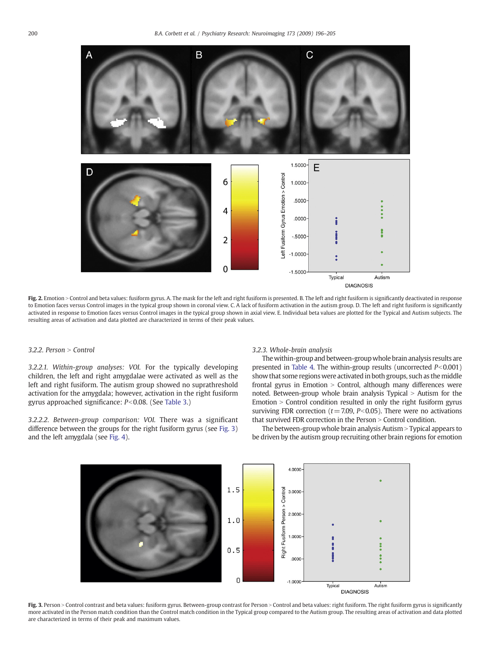<span id="page-4-0"></span>

Fig. 2. Emotion > Control and beta values: fusiform gyrus. A. The mask for the left and right fusiform is presented. B. The left and right fusiform is significantly deactivated in response to Emotion faces versus Control images in the typical group shown in coronal view. C. A lack of fusiform activation in the autism group. D. The left and right fusiform is significantly activated in response to Emotion faces versus Control images in the typical group shown in axial view. E. Individual beta values are plotted for the Typical and Autism subjects. The resulting areas of activation and data plotted are characterized in terms of their peak values.

# 3.2.2. Person  $>$  Control

3.2.2.1. Within-group analyses: VOI. For the typically developing children, the left and right amygdalae were activated as well as the left and right fusiform. The autism group showed no suprathreshold activation for the amygdala; however, activation in the right fusiform gyrus approached significance:  $P<0.08$ . (See [Table 3](#page-3-0).)

3.2.2.2. Between-group comparison: VOI. There was a significant difference between the groups for the right fusiform gyrus (see Fig. 3) and the left amygdala (see [Fig. 4\)](#page-5-0).

#### 3.2.3. Whole-brain analysis

The within-group and between-group whole brain analysis results are presented in [Table 4.](#page-3-0) The within-group results (uncorrected  $P<0.001$ ) show that some regions were activated in both groups, such as the middle frontal gyrus in Emotion  $>$  Control, although many differences were noted. Between-group whole brain analysis Typical  $>$  Autism for the  $Emotion > Control$  condition resulted in only the right fusiform gyrus surviving FDR correction ( $t=7.09$ ,  $P<0.05$ ). There were no activations that survived FDR correction in the Person  $>$  Control condition.

The between-group whole brain analysis Autism  $>$  Typical appears to be driven by the autism group recruiting other brain regions for emotion



Fig. 3. Person > Control contrast and beta values: fusiform gyrus. Between-group contrast for Person > Control and beta values: right fusiform. The right fusiform gyrus is significantly more activated in the Person match condition than the Control match condition in the Typical group compared to the Autism group. The resulting areas of activation and data plotted are characterized in terms of their peak and maximum values.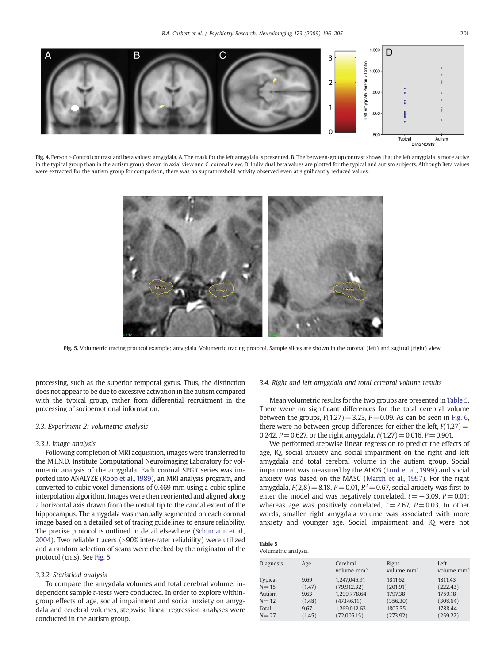<span id="page-5-0"></span>

Fig. 4. Person > Control contrast and beta values: amygdala. A. The mask for the left amygdala is presented. B. The between-group contrast shows that the left amygdala is more active in the typical group than in the autism group shown in axial view and C. coronal view. D. Individual beta values are plotted for the typical and autism subjects. Although Beta values were extracted for the autism group for comparison, there was no suprathreshold activity observed even at significantly reduced values.



Fig. 5. Volumetric tracing protocol example: amygdala. Volumetric tracing protocol. Sample slices are shown in the coronal (left) and sagittal (right) view.

processing, such as the superior temporal gyrus. Thus, the distinction does not appear to be due to excessive activation in the autism compared with the typical group, rather from differential recruitment in the processing of socioemotional information.

# 3.3. Experiment 2: volumetric analysis

# 3.3.1. Image analysis

Following completion of MRI acquisition, images were transferred to the M.I.N.D. Institute Computational Neuroimaging Laboratory for volumetric analysis of the amygdala. Each coronal SPGR series was imported into ANALYZE ([Robb et al., 1989\)](#page-9-0), an MRI analysis program, and converted to cubic voxel dimensions of 0.469 mm using a cubic spline interpolation algorithm. Images were then reoriented and aligned along a horizontal axis drawn from the rostral tip to the caudal extent of the hippocampus. The amygdala was manually segmented on each coronal image based on a detailed set of tracing guidelines to ensure reliability. The precise protocol is outlined in detail elsewhere ([Schumann et al.,](#page-9-0) [2004\)](#page-9-0). Two reliable tracers (>90% inter-rater reliability) were utilized and a random selection of scans were checked by the originator of the protocol (cms). See Fig. 5.

#### 3.3.2. Statistical analysis

To compare the amygdala volumes and total cerebral volume, independent sample t-tests were conducted. In order to explore withingroup effects of age, social impairment and social anxiety on amygdala and cerebral volumes, stepwise linear regression analyses were conducted in the autism group.

# 3.4. Right and left amygdala and total cerebral volume results

Mean volumetric results for the two groups are presented in Table 5. There were no significant differences for the total cerebral volume between the groups,  $F(1,27)=3.23$ ,  $P=0.09$ . As can be seen in [Fig. 6,](#page-6-0) there were no between-group differences for either the left,  $F(1,27)=$ 0.242,  $P = 0.627$ , or the right amygdala,  $F(1,27) = 0.016$ ,  $P = 0.901$ .

We performed stepwise linear regression to predict the effects of age, IQ, social anxiety and social impairment on the right and left amygdala and total cerebral volume in the autism group. Social impairment was measured by the ADOS [\(Lord et al., 1999](#page-8-0)) and social anxiety was based on the MASC [\(March et al., 1997](#page-8-0)). For the right amygdala,  $F(2,8) = 8.18$ ,  $P = 0.01$ ,  $R^2 = 0.67$ , social anxiety was first to enter the model and was negatively correlated,  $t=-3.09$ ,  $P=0.01$ ; whereas age was positively correlated,  $t = 2.67$ ,  $P = 0.03$ . In other words, smaller right amygdala volume was associated with more anxiety and younger age. Social impairment and IQ were not

| Table 5              |  |
|----------------------|--|
| Volumetric analysis. |  |

| Diagnosis      | Age    | Cerebral<br>volume mm <sup>3</sup> | Right<br>volume $mm3$ | Left<br>volume mm <sup>3</sup> |
|----------------|--------|------------------------------------|-----------------------|--------------------------------|
| <b>Typical</b> | 9.69   | 1.247.046.91                       | 1811.62               | 1811.43                        |
| $N = 15$       | (1.47) | (79, 912, 32)                      | (201.91)              | (222.43)                       |
| Autism         | 9.63   | 1.299.778.64                       | 1797.38               | 1759.18                        |
| $N = 12$       | (1.48) | (47, 146.11)                       | (356.30)              | (308.64)                       |
| Total          | 9.67   | 1,269,012.63                       | 1805.35               | 1788.44                        |
| $N = 27$       | (1.45) | (72,005.15)                        | (273.92)              | (259.22)                       |
|                |        |                                    |                       |                                |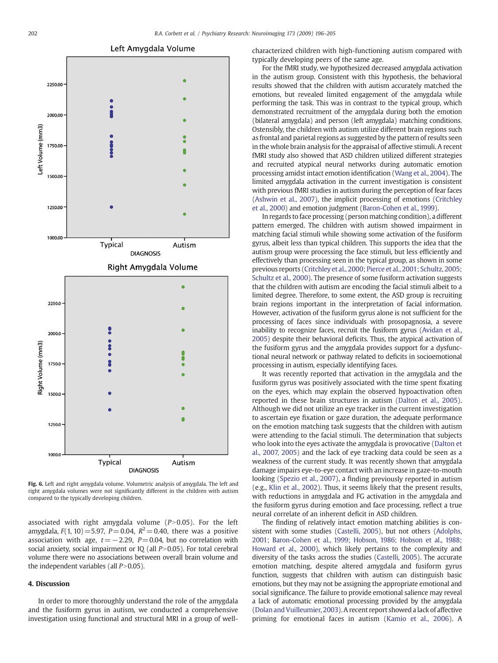<span id="page-6-0"></span>

Fig. 6. Left and right amygdala volume. Volumetric analysis of amygdala. The left and right amygdala volumes were not significantly different in the children with autism compared to the typically developing children.

associated with right amygdala volume  $(P>0.05)$ . For the left amygdala,  $F(1, 10) = 5.97$ ,  $P = 0.04$ ,  $R^2 = 0.40$ , there was a positive association with age,  $t=-2.29$ ,  $P=0.04$ , but no correlation with social anxiety, social impairment or IQ (all  $P>0.05$ ). For total cerebral volume there were no associations between overall brain volume and the independent variables (all  $P>0.05$ ).

# 4. Discussion

In order to more thoroughly understand the role of the amygdala and the fusiform gyrus in autism, we conducted a comprehensive investigation using functional and structural MRI in a group of wellcharacterized children with high-functioning autism compared with typically developing peers of the same age.

For the fMRI study, we hypothesized decreased amygdala activation in the autism group. Consistent with this hypothesis, the behavioral results showed that the children with autism accurately matched the emotions, but revealed limited engagement of the amygdala while performing the task. This was in contrast to the typical group, which demonstrated recruitment of the amygdala during both the emotion (bilateral amygdala) and person (left amygdala) matching conditions. Ostensibly, the children with autism utilize different brain regions such as frontal and parietal regions as suggested by the pattern of results seen in the whole brain analysis for the appraisal of affective stimuli. A recent fMRI study also showed that ASD children utilized different strategies and recruited atypical neural networks during automatic emotion processing amidst intact emotion identification [\(Wang et al., 2004\)](#page-9-0). The limited amygdala activation in the current investigation is consistent with previous fMRI studies in autism during the perception of fear faces [\(Ashwin et al., 2007](#page-8-0)), the implicit processing of emotions [\(Critchley](#page-8-0) [et al., 2000\)](#page-8-0) and emotion judgment ([Baron-Cohen et al., 1999\)](#page-8-0).

In regards to face processing (person matching condition), a different pattern emerged. The children with autism showed impairment in matching facial stimuli while showing some activation of the fusiform gyrus, albeit less than typical children. This supports the idea that the autism group were processing the face stimuli, but less efficiently and effectively than processing seen in the typical group, as shown in some previous reports [\(Critchley et al., 2000; Pierce et al., 2001; Schultz, 2005;](#page-8-0) [Schultz et al., 2000](#page-8-0)). The presence of some fusiform activation suggests that the children with autism are encoding the facial stimuli albeit to a limited degree. Therefore, to some extent, the ASD group is recruiting brain regions important in the interpretation of facial information. However, activation of the fusiform gyrus alone is not sufficient for the processing of faces since individuals with prosopagnosia, a severe inability to recognize faces, recruit the fusiform gyrus [\(Avidan et al.,](#page-8-0) [2005\)](#page-8-0) despite their behavioral deficits. Thus, the atypical activation of the fusiform gyrus and the amygdala provides support for a dysfunctional neural network or pathway related to deficits in socioemotional processing in autism, especially identifying faces.

It was recently reported that activation in the amygdala and the fusiform gyrus was positively associated with the time spent fixating on the eyes, which may explain the observed hypoactivation often reported in these brain structures in autism ([Dalton et al., 2005](#page-8-0)). Although we did not utilize an eye tracker in the current investigation to ascertain eye fixation or gaze duration, the adequate performance on the emotion matching task suggests that the children with autism were attending to the facial stimuli. The determination that subjects who look into the eyes activate the amygdala is provocative ([Dalton et](#page-8-0) [al., 2007, 2005](#page-8-0)) and the lack of eye tracking data could be seen as a weakness of the current study. It was recently shown that amygdala damage impairs eye-to-eye contact with an increase in gaze-to-mouth looking ([Spezio et al., 2007](#page-9-0)), a finding previously reported in autism (e.g., [Klin et al., 2002\)](#page-8-0). Thus, it seems likely that the present results, with reductions in amygdala and FG activation in the amygdala and the fusiform gyrus during emotion and face processing, reflect a true neural correlate of an inherent deficit in ASD children.

The finding of relatively intact emotion matching abilities is consistent with some studies ([Castelli, 2005\)](#page-8-0), but not others [\(Adolphs,](#page-7-0) [2001; Baron-Cohen et al., 1999; Hobson, 1986; Hobson et al., 1988;](#page-7-0) [Howard et al., 2000](#page-7-0)), which likely pertains to the complexity and diversity of the tasks across the studies ([Castelli, 2005](#page-8-0)). The accurate emotion matching, despite altered amygdala and fusiform gyrus function, suggests that children with autism can distinguish basic emotions, but they may not be assigning the appropriate emotional and social significance. The failure to provide emotional salience may reveal a lack of automatic emotional processing provided by the amygdala [\(Dolan and Vuilleumier, 2003\)](#page-8-0). A recent report showed a lack of affective priming for emotional faces in autism ([Kamio et al., 2006](#page-8-0)). A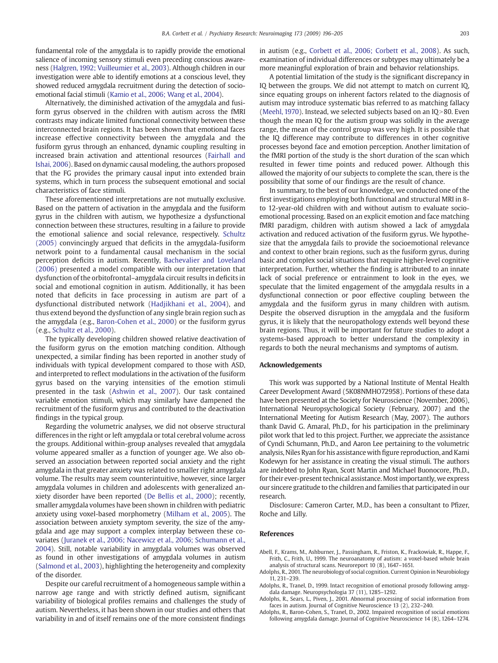<span id="page-7-0"></span>fundamental role of the amygdala is to rapidly provide the emotional salience of incoming sensory stimuli even preceding conscious awareness ([Halgren, 1992; Vuilleumier et al., 2003](#page-8-0)). Although children in our investigation were able to identify emotions at a conscious level, they showed reduced amygdala recruitment during the detection of socioemotional facial stimuli ([Kamio et al., 2006; Wang et al., 2004](#page-8-0)).

Alternatively, the diminished activation of the amygdala and fusiform gyrus observed in the children with autism across the fMRI contrasts may indicate limited functional connectivity between these interconnected brain regions. It has been shown that emotional faces increase effective connectivity between the amygdala and the fusiform gyrus through an enhanced, dynamic coupling resulting in increased brain activation and attentional resources ([Fairhall and](#page-8-0) [Ishai, 2006\)](#page-8-0). Based on dynamic causal modeling, the authors proposed that the FG provides the primary causal input into extended brain systems, which in turn process the subsequent emotional and social characteristics of face stimuli.

These aforementioned interpretations are not mutually exclusive. Based on the pattern of activation in the amygdala and the fusiform gyrus in the children with autism, we hypothesize a dysfunctional connection between these structures, resulting in a failure to provide the emotional salience and social relevance, respectively. [Schultz](#page-9-0) [\(2005\)](#page-9-0) convincingly argued that deficits in the amygdala-fusiform network point to a fundamental causal mechanism in the social perception deficits in autism. Recently, [Bachevalier and Loveland](#page-8-0) [\(2006\)](#page-8-0) presented a model compatible with our interpretation that dysfunction of the orbitofrontal–amygdala circuit results in deficits in social and emotional cognition in autism. Additionally, it has been noted that deficits in face processing in autism are part of a dysfunctional distributed network ([Hadjikhani et al., 2004](#page-8-0)), and thus extend beyond the dysfunction of any single brain region such as the amygdala (e.g., [Baron-Cohen et al., 2000](#page-8-0)) or the fusiform gyrus (e.g., [Schultz et al., 2000\)](#page-9-0).

The typically developing children showed relative deactivation of the fusiform gyrus on the emotion matching condition. Although unexpected, a similar finding has been reported in another study of individuals with typical development compared to those with ASD, and interpreted to reflect modulations in the activation of the fusiform gyrus based on the varying intensities of the emotion stimuli presented in the task [\(Ashwin et al., 2007](#page-8-0)). Our task contained variable emotion stimuli, which may similarly have dampened the recruitment of the fusiform gyrus and contributed to the deactivation findings in the typical group.

Regarding the volumetric analyses, we did not observe structural differences in the right or left amygdala or total cerebral volume across the groups. Additional within-group analyses revealed that amygdala volume appeared smaller as a function of younger age. We also observed an association between reported social anxiety and the right amygdala in that greater anxiety was related to smaller right amygdala volume. The results may seem counterintuitive, however, since larger amygdala volumes in children and adolescents with generalized anxiety disorder have been reported ([De Bellis et al., 2000](#page-8-0)); recently, smaller amygdala volumes have been shown in children with pediatric anxiety using voxel-based morphometry [\(Milham et al., 2005\)](#page-8-0). The association between anxiety symptom severity, the size of the amygdala and age may support a complex interplay between these covariates ([Juranek et al., 2006; Nacewicz et al., 2006; Schumann et al.,](#page-8-0) [2004](#page-8-0)). Still, notable variability in amygdala volumes was observed as found in other investigations of amygdala volumes in autism [\(Salmond et al., 2003\)](#page-9-0), highlighting the heterogeneity and complexity of the disorder.

Despite our careful recruitment of a homogeneous sample within a narrow age range and with strictly defined autism, significant variability of biological profiles remains and challenges the study of autism. Nevertheless, it has been shown in our studies and others that variability in and of itself remains one of the more consistent findings

in autism (e.g., [Corbett et al., 2006; Corbett et al., 2008](#page-8-0)). As such, examination of individual differences or subtypes may ultimately be a more meaningful exploration of brain and behavior relationships.

A potential limitation of the study is the significant discrepancy in IQ between the groups. We did not attempt to match on current IQ, since equating groups on inherent factors related to the diagnosis of autism may introduce systematic bias referred to as matching fallacy [\(Meehl, 1970\)](#page-8-0). Instead, we selected subjects based on an  $IQ > 80$ . Even though the mean IQ for the autism group was solidly in the average range, the mean of the control group was very high. It is possible that the IQ difference may contribute to differences in other cognitive processes beyond face and emotion perception. Another limitation of the fMRI portion of the study is the short duration of the scan which resulted in fewer time points and reduced power. Although this allowed the majority of our subjects to complete the scan, there is the possibility that some of our findings are the result of chance.

In summary, to the best of our knowledge, we conducted one of the first investigations employing both functional and structural MRI in 8 to 12-year-old children with and without autism to evaluate socioemotional processing. Based on an explicit emotion and face matching fMRI paradigm, children with autism showed a lack of amygdala activation and reduced activation of the fusiform gyrus. We hypothesize that the amygdala fails to provide the socioemotional relevance and context to other brain regions, such as the fusiform gyrus, during basic and complex social situations that require higher-level cognitive interpretation. Further, whether the finding is attributed to an innate lack of social preference or entrainment to look in the eyes, we speculate that the limited engagement of the amygdala results in a dysfunctional connection or poor effective coupling between the amygdala and the fusiform gyrus in many children with autism. Despite the observed disruption in the amygdala and the fusiform gyrus, it is likely that the neuropathology extends well beyond these brain regions. Thus, it will be important for future studies to adopt a systems-based approach to better understand the complexity in regards to both the neural mechanisms and symptoms of autism.

# Acknowledgements

This work was supported by a National Institute of Mental Health Career Development Award (5K08NMHO72958). Portions of these data have been presented at the Society for Neuroscience (November, 2006), International Neuropsychological Society (February, 2007) and the International Meeting for Autism Research (May, 2007). The authors thank David G. Amaral, Ph.D., for his participation in the preliminary pilot work that led to this project. Further, we appreciate the assistance of Cyndi Schumann, Ph.D., and Aaron Lee pertaining to the volumetric analysis, Niles Ryan for his assistance with figure reproduction, and Kami Kodewyn for her assistance in creating the visual stimuli. The authors are indebted to John Ryan, Scott Martin and Michael Buonocore, Ph.D., for their ever-present technical assistance.Most importantly, we express our sincere gratitude to the children and families that participated in our research.

Disclosure: Cameron Carter, M.D., has been a consultant to Pfizer, Roche and Lilly.

# References

- Abell, F., Krams, M., Ashburner, J., Passingham, R., Friston, K., Frackowiak, R., Happe, F., Frith, C., Frith, U., 1999. The neuroanatomy of autism: a voxel-based whole brain analysis of structural scans. Neuroreport 10 (8), 1647–1651.
- Adolphs, R., 2001. The neurobiology of social cognition. Current Opinion in Neurobiology 11, 231–239.
- Adolphs, R., Tranel, D., 1999. Intact recognition of emotional prosody following amygdala damage. Neuropsychologia 37 (11), 1285–1292.
- Adolphs, R., Sears, L., Piven, J., 2001. Abnormal processing of social information from faces in autism. Journal of Cognitive Neuroscience 13 (2), 232–240.
- Adolphs, R., Baron-Cohen, S., Tranel, D., 2002. Impaired recognition of social emotions following amygdala damage. Journal of Cognitive Neuroscience 14 (8), 1264–1274.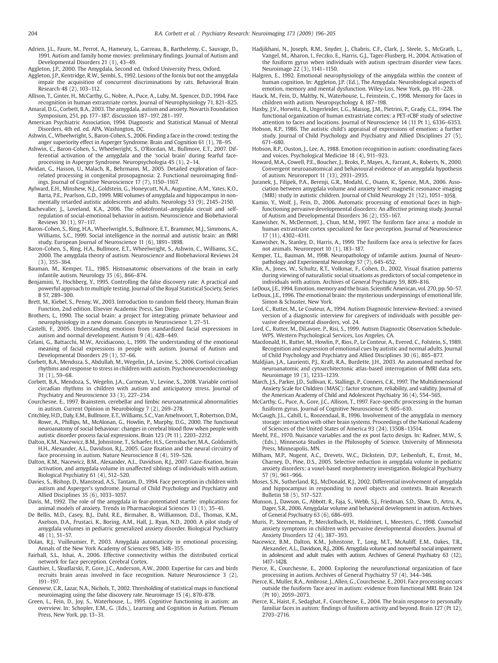<span id="page-8-0"></span>Adrien, J.L., Faure, M., Perrot, A., Hameury, L., Garreau, B., Barthelemy, C., Sauvage, D., 1991. Autism and family home movies: preliminary findings. Journal of Autism and Developmental Disorders 21 (1), 43–49.

Aggleton, J.P., 2000. The Amygdala, Second ed. Oxford University Press, Oxford.

- Aggleton, J.P., Kentridge, R.W., Sembi, S., 1992. Lesions of the fornix but not the amygdala impair the acquisition of concurrent discriminations by rats. Behavioral Brain Research 48 (2), 103–112.
- Allison, T., Ginter, H., McCarthy, G., Nobre, A., Puce, A., Luby, M., Spencer, D.D., 1994. Face recognition in human extrastriate cortex. Journal of Neurophysiology 71, 821–825. Amaral, D.G., Corbett, B.A., 2003. The amygdala, autism and anxiety. Novartis Foundation
- Symposium, 251, pp. 177–187. discussion 187–197, 281–197. American Psychiatric Association, 1994. Diagnostic and Statistical Manual of Mental
- Disorders, 4th ed. ed. APA, Washington, DC. Ashwin, C., Wheelwright, S., Baron-Cohen, S., 2006. Finding a face in the crowd: testing the
- anger superiority effect in Asperger Syndrome. Brain and Cognition 61 (1), 78–95.
- Ashwin, C., Baron-Cohen, S., Wheelwright, S., O'Riordan, M., Bullmore, E.T., 2007. Differential activation of the amygdala and the 'social brain' during fearful faceprocessing in Asperger Syndrome. Neuropsychologia 45 (1), 2–14.
- Avidan, G., Hasson, U., Malach, R., Behrmann, M., 2005. Detailed exploration of facerelated processing in congenital prosopagnosia: 2. Functional neuroimaging findings. Journal of Cognitive Neuroscience 17 (7), 1150–1167.
- Aylward, E.H., Minshew, N.J., Goldstein, G., Honeycutt, N.A., Augustine, A.M., Yates, K.O., Barta, P.E., Pearlson, G.D., 1999. MRI volumes of amygdala and hippocampus in nonmentally retarded autistic adolescents and adults. Neurology 53 (9), 2145–2150.
- Bachevalier, J., Loveland, K.A., 2006. The orbitofrontal–amygdala circuit and selfregulation of social-emotional behavior in autism. Neuroscience and Biobehavioral Reviews 30 (1), 97–117.
- Baron-Cohen, S., Ring, H.A., Wheelwright, S., Bullmore, E.T., Brammer, M.J., Simmons, A Williams, S.C., 1999. Social intelligence in the normal and autistic brain: an fMRI study. European Journal of Neuroscience 11 (6), 1891–1898.
- Baron-Cohen, S., Ring, H.A., Bullmore, E.T., Wheelwright, S., Ashwin, C., Williams, S.C., 2000. The amygdala theory of autism. Neuroscience and Biobehavioral Reviews 24 (3), 355–364.
- Bauman, M., Kemper, T.L., 1985. Histoanatomic observations of the brain in early infantile autism. Neurology 35 (6), 866–874.
- Benjamini, Y., Hochberg, Y., 1995. Controlling the false discovery rate: A practical and powerful approach to multiple testing. Journal of the Royal Statistical Society, Series B 57, 289–300.
- Brett, M., Kiebel, S., Penny, W., 2003. Introduction to random field theory, Human Brain Function, 2nd edition. Elsevier Academic Press, San Diego.
- Brothers, L., 1990. The social brain: a project for integrating primate behaviour and neurophysiology in a new domain. Concepts in Neuroscience 1, 27–51.
- Castelli, F., 2005. Understanding emotions from standardized facial expressions in autism and normal development. Autism 9 (4), 428–449.
- Celani, G., Battacchi, M.W., Arcidiacono, L., 1999. The understanding of the emotional meaning of facial expressions in people with autism. Journal of Autism and Developmental Disorders 29 (1), 57–66.
- Corbett, B.A., Mendoza, S., Abdullah, M., Wegelin, J.A., Levine, S., 2006. Cortisol circadian rhythms and response to stress in children with autism. Psychoneuroendocrinology 31 (1), 59–68.
- Corbett, B.A., Mendoza, S., Wegelin, J.A., Carmean, V., Levine, S., 2008. Variable cortisol circadian rhythms in children with autism and anticipatory stress. Journal of Psychiatry and Neuroscience 33 (3), 227–234.
- Courchesne, E., 1997. Brainstem, cerebellar and limbic neuroanatomical abnormalities in autism. Current Opinion in Neurobiology 7 (2), 269–278.
- Critchley, H.D., Daly, E.M., Bullmore, E.T.,Williams, S.C., Van Amelsvoort, T., Robertson, D.M., Rowe, A., Phillips, M., McAlonan, G., Howlin, P., Murphy, D.G., 2000. The functional neuroanatomy of social behaviour: changes in cerebral blood flow when people with autistic disorder process facial expressions. Brain 123 (Pt 11), 2203–2212.
- Dalton, K.M., Nacewicz, B.M., Johnstone, T., Schaefer, H.S., Gernsbacher, M.A., Goldsmith, H.H., Alexander, A.L., Davidson, R.J., 2005. Gaze fixation and the neural circuitry of face processing in autism. Nature Neuroscience 8 (4), 519–526.
- Dalton, K.M., Nacewicz, B.M., Alexander, A.L., Davidson, R.J., 2007. Gaze-fixation, brain activation, and amygdala volume in unaffected siblings of individuals with autism. Biological Psychiatry 61 (4), 512–520.
- Davies, S., Bishop, D., Manstead, A.S., Tantam, D., 1994. Face perception in children with autism and Asperger's syndrome. Journal of Child Psychology and Psychiatry and Allied Disciplines 35 (6), 1033–1057.
- Davis, M., 1992. The role of the amygdala in fear-potentiated startle: implications for animal models of anxiety. Trends in Pharmacological Sciences 13 (1), 35–41.
- De Bellis, M.D., Casey, B.J., Dahl, R.E., Birmaher, B., Williamson, D.E., Thomas, K.M., Axelson, D.A., Frustaci, K., Boring, A.M., Hall, J., Ryan, N.D., 2000. A pilot study of amygdala volumes in pediatric generalized anxiety disorder. Biological Psychiatry 48 (1), 51–57.
- Dolan, R.J., Vuilleumier, P., 2003. Amygdala automaticity in emotional processing. Annals of the New York Academy of Sciences 985, 348–355.
- Fairhall, S.L., Ishai, A., 2006. Effective connectivity within the distributed cortical network for face perception. Cerebral Cortex.
- Gauthier, I., Skudlarski, P., Gore, J.C., Anderson, A.W., 2000. Expertise for cars and birds recruits brain areas involved in face recognition. Nature Neuroscience 3 (2), 191–197.
- Genovese, C.R., Lazar, N.A., Nichols, T., 2002. Thresholding of statistical maps in functional neuroimaging using the false discovery rate. Neuroimage 15 (4), 870–878.
- Green, L., Fein, D., Joy, S., Waterhouse, L., 1995. Cognitive functioning in autism: an overview. In: Schopler, E.M., G. (Eds.), Learning and Cognition in Autism. Plenum Press, New York, pp. 13–31.
- Hadjikhani, N., Joseph, R.M., Snyder, J., Chabris, C.F., Clark, J., Steele, S., McGrath, L., Vangel, M., Aharon, I., Feczko, E., Harris, G.J., Tager-Flusberg, H., 2004. Activation of the fusiform gyrus when individuals with autism spectrum disorder view faces. Neuroimage 22 (3), 1141–1150.
- Halgren, E., 1992. Emotional neurophysiology of the amygdala within the context of human cognition. In: Aggleton, J.P. (Ed.), The Amygdala: Neurobiological aspects of emotion, memory and mental dysfunction. Wiley-Liss, New York, pp. 191–228.
- Hauck, M., Fein, D., Maltby, N., Waterhouse, L., Feinstein, C., 1998. Memory for faces in children with autism. Neuropsychology 4, 187–198.
- Haxby, J.V., Horwitz, B., Ungerleider, L.G., Maisog, J.M., Pietrini, P., Grady, C.L., 1994. The functional organization of human extrastriate cortex: a PET-rCBF study of selective attention to faces and locations. Journal of Neuroscience 14 (11 Pt 1), 6336–6353.
- Hobson, R.P., 1986. The autistic child's appraisal of expressions of emotion: a further study. Journal of Child Psychology and Psychiatry and Allied Disciplines 27 (5), 671–680.
- Hobson, R.P., Ouston, J., Lee, A., 1988. Emotion recognition in autism: coordinating faces and voices. Psychological Medicine 18 (4), 911–923.
- Howard, M.A., Cowell, P.E., Boucher, J., Broks, P., Mayes, A., Farrant, A., Roberts, N., 2000. Convergent neuroanatomical and behavioural evidence of an amygdala hypothesis of autism. Neuroreport 11 (13), 2931–2935.
- Juranek, J., Filipek, P.A., Berenji, G.R., Modahl, C., Osann, K., Spence, M.A., 2006. Association between amygdala volume and anxiety level: magnetic resonance imaging (MRI) study in autistic children. Journal of Child Neurology 21 (12), 1051–1058.
- Kamio, Y., Wolf, J., Fein, D., 2006. Automatic processing of emotional faces in highfunctioning pervasive developmental disorders: An affective priming study. Journal of Autism and Developmental Disorders 36 (2), 155–167.
- Kanwisher, N., McDermott, J., Chun, M.M., 1997. The fusiform face area: a module in human extrastriate cortex specialized for face perception. Journal of Neuroscience 17 (11), 4302–4311.
- Kanwisher, N., Stanley, D., Harris, A., 1999. The fusiform face area is selective for faces not animals. Neuroreport 10 (1), 183–187.
- Kemper, T.L., Bauman, M., 1998. Neuropathology of infantile autism. Journal of Neuropathology and Experimental Neurology 57 (7), 645–652.
- Klin, A., Jones, W., Schultz, R.T., Volkmar, F., Cohen, D., 2002. Visual fixation patterns during viewing of naturalistic social situations as predictors of social competence in individuals with autism. Archives of General Psychiatry 59, 809–816.
- LeDoux, J.E.,1994. Emotion, memory and the brain. Scientific American, vol. 270, pp. 50–57. LeDoux, J.E., 1996. The emotional brain: the mysterious underpinnings of emotional life. Simon & Schuster, New York.
- Lord, C., Rutter, M., Le Couteur, A., 1994. Autism Diagnostic Interview-Revised: a revised version of a diagnostic interview for caregivers of individuals with possible pervasive developmental disorders, vol. 24.
- Lord, C., Rutter, M., DiLavore, P., Risi, S., 1999. Autism Diagnostic Observation Schedule-WPS. Western Psychological Services, Los Angeles, CA.
- Macdonald, H., Rutter, M., Howlin, P., Rios, P., Le Conteur, A., Evered, C., Folstein, S., 1989. Recognition and expression of emotional cues by autistic and normal adults. Journal of Child Psychology and Psychiatry and Allied Disciplines 30 (6), 865–877.
- Maldjian, J.A., Laurienti, P.J., Kraft, R.A., Burdette, J.H., 2003. An automated method for neuroanatomic and cytoarchitectonic atlas-based interrogation of fMRI data sets. Neuroimage 19 (3), 1233–1239.
- March, J.S., Parker, J.D., Sullivan, K., Stallings, P., Conners, C.K., 1997. The Multidimensional Anxiety Scale for Children (MASC): factor structure, reliability, and validity. Journal of the American Academy of Child and Adolescent Psychiatry 36 (4), 554–565.
- McCarthy, G., Puce, A., Gore, J.C., Allison, T., 1997. Face-specific processing in the human fusiform gyrus. Journal of Cognitive Neuroscience 9, 605–610.
- McGaugh, J.L., Cahill, L., Roozendaal, B., 1996. Involvement of the amygdala in memory storage: interaction with other brain systems. Proceedings of the National Academy of Sciences of the United States of America 93 (24), 13508–13514.
- Meehl, P.E., 1970. Nuisance variables and the ex post facto design. In: Radner, M.W., S. (Eds.), Minnesota Studies in the Philosophy of Science. University of Minnesota Press, Minneapolis, MN.
- Milham, M.P., Nugent, A.C., Drevets, W.C., Dickstein, D.P., Leibenluft, E., Ernst, M., Charney, D., Pine, D.S., 2005. Selective reduction in amygdala volume in pediatric anxiety disorders: a voxel-based morphometry investigation. Biological Psychiatry 57 (9), 961–966.
- Moses, S.N., Sutherland, R.J., McDonald, R.J., 2002. Differential involvement of amygdala and hippocampus in responding to novel objects and contexts. Brain Research Bulletin 58 (5), 517–527.
- Munson, J., Dawson, G., Abbott, R., Faja, S., Webb, S.J., Friedman, S.D., Shaw, D., Artru, A., Dager, S.R., 2006. Amygdalar volume and behavioral development in autism. Archives of General Psychiatry 63 (6), 686–693.
- Muris, P., Steerneman, P., Merckelbach, H., Holdrinet, I., Meesters, C., 1998. Comorbid anxiety symptoms in children with pervasive developmental disorders. Journal of Anxiety Disorders 12 (4), 387–393.
- Nacewicz, B.M., Dalton, K.M., Johnstone, T., Long, M.T., McAuliff, E.M., Oakes, T.R., Alexander, A.L., Davidson, R.J., 2006. Amygdala volume and nonverbal social impairment in adolescent and adult males with autism. Archives of General Psychiatry 63 (12), 1417–1428.
- Pierce, K., Courchesne, E., 2000. Exploring the neurofunctional organization of face processing in autism. Archives of General Psychiatry 57 (4), 344–346.
- Pierce, K., Muller, R.A., Ambrose, J., Allen, G., Courchesne, E., 2001. Face processing occurs outside the fusiform 'face area' in autism: evidence from functional MRI. Brain 124 (Pt 10), 2059–2073.
- Pierce, K., Haist, F., Sedaghat, F., Courchesne, E., 2004. The brain response to personally familiar faces in autism: findings of fusiform activity and beyond. Brain 127 (Pt 12), 2703–2716.